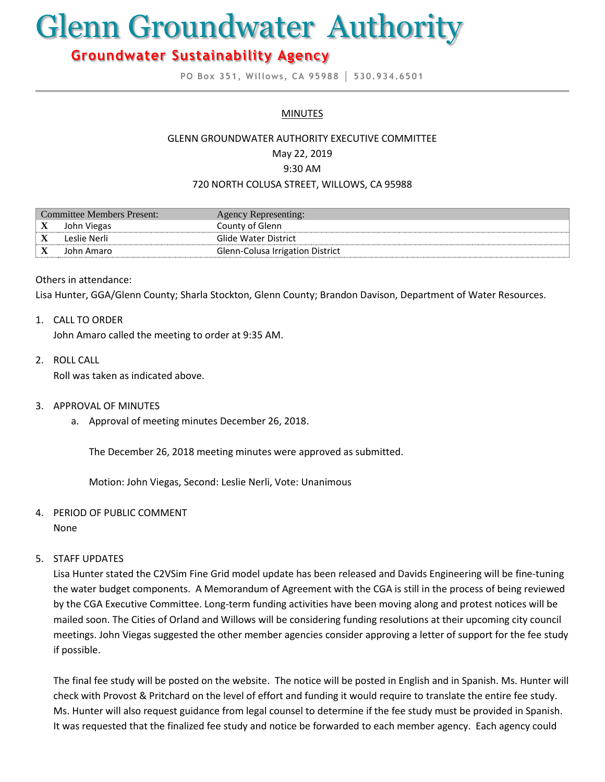# Glenn Groundwater Authority

# **Groundwater Sustainability Agency**

**PO Box 351, Willows, CA 95988 │ 530.934.6501**

#### **MINUTES**

#### GLENN GROUNDWATER AUTHORITY EXECUTIVE COMMITTEE

May 22, 2019

9:30 AM

#### 720 NORTH COLUSA STREET, WILLOWS, CA 95988

| Committee Members Present: |              | Agency Representing:             |
|----------------------------|--------------|----------------------------------|
| X                          | John Viegas  | County of Glenn                  |
| △                          | Leslie Nerli | Glide Water District             |
| X                          | John Amaro   | Glenn-Colusa Irrigation District |

#### Others in attendance:

Lisa Hunter, GGA/Glenn County; Sharla Stockton, Glenn County; Brandon Davison, Department of Water Resources.

#### 1. CALL TO ORDER

John Amaro called the meeting to order at 9:35 AM.

2. ROLL CALL

Roll was taken as indicated above.

- 3. APPROVAL OF MINUTES
	- a. Approval of meeting minutes December 26, 2018.

The December 26, 2018 meeting minutes were approved as submitted.

Motion: John Viegas, Second: Leslie Nerli, Vote: Unanimous

4. PERIOD OF PUBLIC COMMENT

None

#### 5. STAFF UPDATES

Lisa Hunter stated the C2VSim Fine Grid model update has been released and Davids Engineering will be fine-tuning the water budget components. A Memorandum of Agreement with the CGA is still in the process of being reviewed by the CGA Executive Committee. Long-term funding activities have been moving along and protest notices will be mailed soon. The Cities of Orland and Willows will be considering funding resolutions at their upcoming city council meetings. John Viegas suggested the other member agencies consider approving a letter of support for the fee study if possible.

The final fee study will be posted on the website. The notice will be posted in English and in Spanish. Ms. Hunter will check with Provost & Pritchard on the level of effort and funding it would require to translate the entire fee study. Ms. Hunter will also request guidance from legal counsel to determine if the fee study must be provided in Spanish. It was requested that the finalized fee study and notice be forwarded to each member agency. Each agency could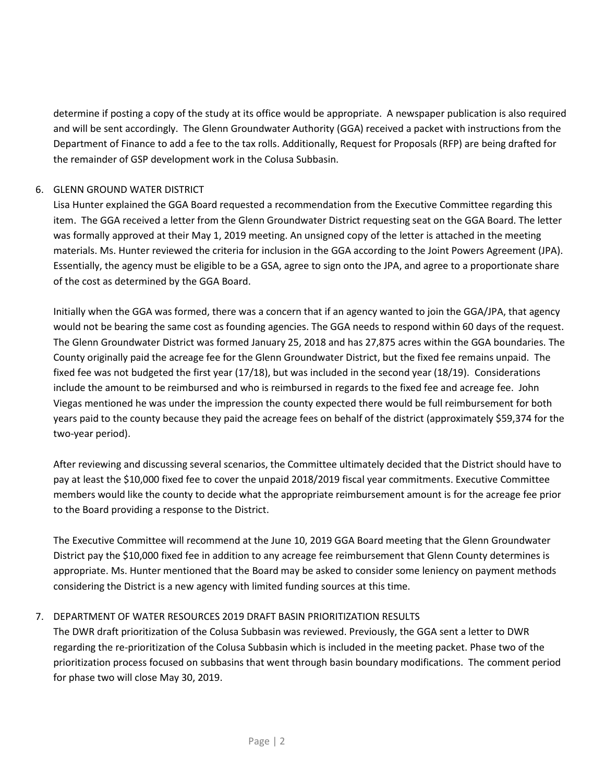determine if posting a copy of the study at its office would be appropriate. A newspaper publication is also required and will be sent accordingly. The Glenn Groundwater Authority (GGA) received a packet with instructions from the Department of Finance to add a fee to the tax rolls. Additionally, Request for Proposals (RFP) are being drafted for the remainder of GSP development work in the Colusa Subbasin.

# 6. GLENN GROUND WATER DISTRICT

Lisa Hunter explained the GGA Board requested a recommendation from the Executive Committee regarding this item. The GGA received a letter from the Glenn Groundwater District requesting seat on the GGA Board. The letter was formally approved at their May 1, 2019 meeting. An unsigned copy of the letter is attached in the meeting materials. Ms. Hunter reviewed the criteria for inclusion in the GGA according to the Joint Powers Agreement (JPA). Essentially, the agency must be eligible to be a GSA, agree to sign onto the JPA, and agree to a proportionate share of the cost as determined by the GGA Board.

Initially when the GGA was formed, there was a concern that if an agency wanted to join the GGA/JPA, that agency would not be bearing the same cost as founding agencies. The GGA needs to respond within 60 days of the request. The Glenn Groundwater District was formed January 25, 2018 and has 27,875 acres within the GGA boundaries. The County originally paid the acreage fee for the Glenn Groundwater District, but the fixed fee remains unpaid. The fixed fee was not budgeted the first year (17/18), but was included in the second year (18/19). Considerations include the amount to be reimbursed and who is reimbursed in regards to the fixed fee and acreage fee. John Viegas mentioned he was under the impression the county expected there would be full reimbursement for both years paid to the county because they paid the acreage fees on behalf of the district (approximately \$59,374 for the two-year period).

After reviewing and discussing several scenarios, the Committee ultimately decided that the District should have to pay at least the \$10,000 fixed fee to cover the unpaid 2018/2019 fiscal year commitments. Executive Committee members would like the county to decide what the appropriate reimbursement amount is for the acreage fee prior to the Board providing a response to the District.

The Executive Committee will recommend at the June 10, 2019 GGA Board meeting that the Glenn Groundwater District pay the \$10,000 fixed fee in addition to any acreage fee reimbursement that Glenn County determines is appropriate. Ms. Hunter mentioned that the Board may be asked to consider some leniency on payment methods considering the District is a new agency with limited funding sources at this time.

# 7. DEPARTMENT OF WATER RESOURCES 2019 DRAFT BASIN PRIORITIZATION RESULTS

The DWR draft prioritization of the Colusa Subbasin was reviewed. Previously, the GGA sent a letter to DWR regarding the re-prioritization of the Colusa Subbasin which is included in the meeting packet. Phase two of the prioritization process focused on subbasins that went through basin boundary modifications. The comment period for phase two will close May 30, 2019.